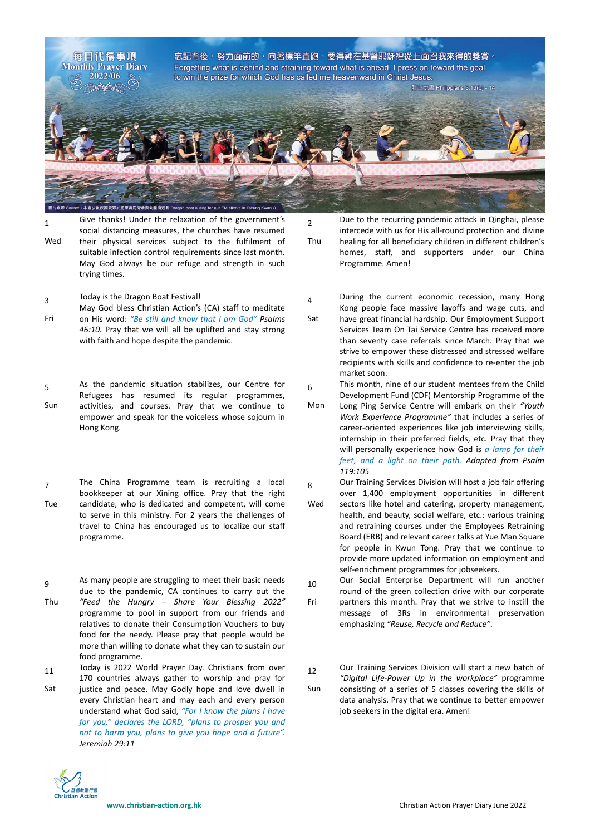

 $\overline{2}$ 

4

1 Wed Give thanks! Under the relaxation of the government's social distancing measures, the churches have resumed their physical services subject to the fulfilment of suitable infection control requirements since last month. May God always be our refuge and strength in such trying times.

- 3 Today is the Dragon Boat Festival!
- Fri May God bless Christian Action's (CA) staff to meditate on His word: *"Be still and know that I am God" Psalms 46:10.* Pray that we will all be uplifted and stay strong with faith and hope despite the pandemic.
- 5 Sun As the pandemic situation stabilizes, our Centre for Refugees has resumed its regular programmes, activities, and courses. Pray that we continue to empower and speak for the voiceless whose sojourn in Hong Kong.
- 7 Tue The China Programme team is recruiting a local bookkeeper at our Xining office. Pray that the right candidate, who is dedicated and competent, will come to serve in this ministry. For 2 years the challenges of travel to China has encouraged us to localize our staff programme.
- 9 Thu As many people are struggling to meet their basic needs due to the pandemic, CA continues to carry out the *"Feed the Hungry – Share Your Blessing 2022"* programme to pool in support from our friends and relatives to donate their Consumption Vouchers to buy food for the needy. Please pray that people would be more than willing to donate what they can to sustain our food programme.

11 Today is 2022 World Prayer Day. Christians from over 170 countries always gather to worship and pray for

Sat justice and peace. May Godly hope and love dwell in every Christian heart and may each and every person understand what God said, *"For I know the plans I have for you," declares the LORD, "plans to prosper you and not to harm you, plans to give you hope and a future". Jeremiah 29:11*



Due to the recurring pandemic attack in Qinghai, please intercede with us for His all-round protection and divine

Thu healing for all beneficiary children in different children's homes, staff, and supporters under our China Programme. Amen!

- During the current economic recession, many Hong Kong people face massive layoffs and wage cuts, and
- Sat have great financial hardship. Our Employment Support Services Team On Tai Service Centre has received more than seventy case referrals since March. Pray that we strive to empower these distressed and stressed welfare recipients with skills and confidence to re-enter the job market soon.

6 This month, nine of our student mentees from the Child Development Fund (CDF) Mentorship Programme of the

- Mon Long Ping Service Centre will embark on their *"Youth Work Experience Programme"* that includes a series of career-oriented experiences like job interviewing skills, internship in their preferred fields, etc. Pray that they will personally experience how God is *a lamp for their feet, and a light on their path. Adapted from Psalm 119:105*
- 8 Our Training Services Division will host a job fair offering over 1,400 employment opportunities in different
- Wed sectors like hotel and catering, property management, health, and beauty, social welfare, etc.: various training and retraining courses under the Employees Retraining Board (ERB) and relevant career talks at Yue Man Square for people in Kwun Tong. Pray that we continue to provide more updated information on employment and self-enrichment programmes for jobseekers.
- 10 Our Social Enterprise Department will run another round of the green collection drive with our corporate
- Fri partners this month. Pray that we strive to instill the message of 3Rs in environmental preservation emphasizing *"Reuse, Recycle and Reduce"*.
- 12 Our Training Services Division will start a new batch of *"Digital Life-Power Up in the workplace"* programme
- Sun consisting of a series of 5 classes covering the skills of data analysis. Pray that we continue to better empower job seekers in the digital era. Amen!